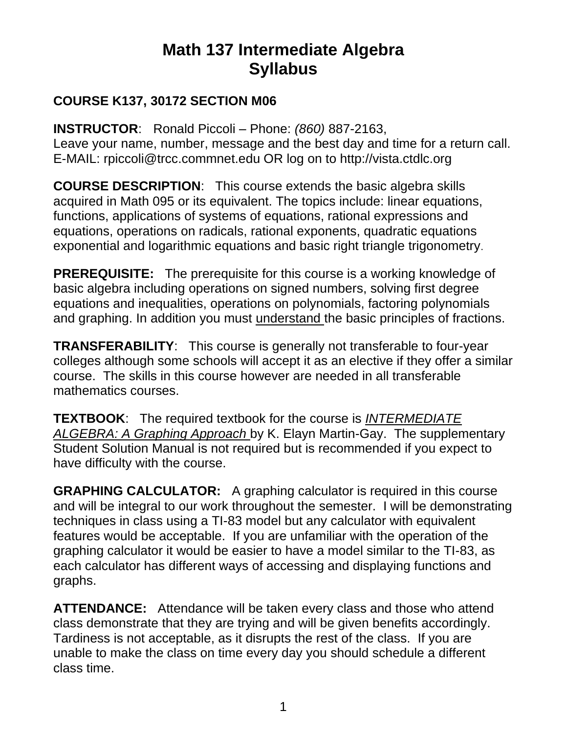# **Math 137 Intermediate Algebra Syllabus**

#### **COURSE K137, 30172 SECTION M06**

**INSTRUCTOR**: Ronald Piccoli – Phone: *(860)* 887-2163, Leave your name, number, message and the best day and time for a return call. E-MAIL: rpiccoli@trcc.commnet.edu OR log on to http://vista.ctdlc.org

**COURSE DESCRIPTION**: This course extends the basic algebra skills acquired in Math 095 or its equivalent. The topics include: linear equations, functions, applications of systems of equations, rational expressions and equations, operations on radicals, rational exponents, quadratic equations exponential and logarithmic equations and basic right triangle trigonometry.

**PREREQUISITE:** The prerequisite for this course is a working knowledge of basic algebra including operations on signed numbers, solving first degree equations and inequalities, operations on polynomials, factoring polynomials and graphing. In addition you must understand the basic principles of fractions.

**TRANSFERABILITY**: This course is generally not transferable to four-year colleges although some schools will accept it as an elective if they offer a similar course. The skills in this course however are needed in all transferable mathematics courses.

**TEXTBOOK**: The required textbook for the course is *INTERMEDIATE ALGEBRA: A Graphing Approach* by K. Elayn Martin-Gay. The supplementary Student Solution Manual is not required but is recommended if you expect to have difficulty with the course.

**GRAPHING CALCULATOR:** A graphing calculator is required in this course and will be integral to our work throughout the semester. I will be demonstrating techniques in class using a TI-83 model but any calculator with equivalent features would be acceptable. If you are unfamiliar with the operation of the graphing calculator it would be easier to have a model similar to the TI-83, as each calculator has different ways of accessing and displaying functions and graphs.

**ATTENDANCE:** Attendance will be taken every class and those who attend class demonstrate that they are trying and will be given benefits accordingly. Tardiness is not acceptable, as it disrupts the rest of the class. If you are unable to make the class on time every day you should schedule a different class time.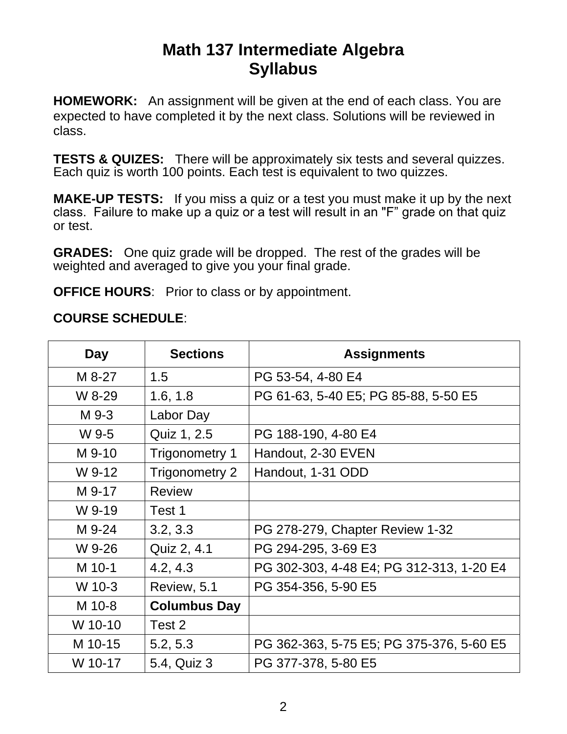## **Math 137 Intermediate Algebra Syllabus**

**HOMEWORK:** An assignment will be given at the end of each class. You are expected to have completed it by the next class. Solutions will be reviewed in class.

**TESTS & QUIZES:** There will be approximately six tests and several quizzes. Each quiz is worth 100 points. Each test is equivalent to two quizzes.

**MAKE-UP TESTS:** If you miss a quiz or a test you must make it up by the next class. Failure to make up a quiz or a test will result in an "F" grade on that quiz or test.

**GRADES:** One quiz grade will be dropped. The rest of the grades will be weighted and averaged to give you your final grade.

**OFFICE HOURS:** Prior to class or by appointment.

#### **COURSE SCHEDULE**:

| Day     | <b>Sections</b>     | <b>Assignments</b>                       |
|---------|---------------------|------------------------------------------|
| M 8-27  | 1.5                 | PG 53-54, 4-80 E4                        |
| W 8-29  | 1.6, 1.8            | PG 61-63, 5-40 E5; PG 85-88, 5-50 E5     |
| M 9-3   | Labor Day           |                                          |
| W 9-5   | Quiz 1, 2.5         | PG 188-190, 4-80 E4                      |
| M 9-10  | Trigonometry 1      | Handout, 2-30 EVEN                       |
| W 9-12  | Trigonometry 2      | Handout, 1-31 ODD                        |
| M 9-17  | <b>Review</b>       |                                          |
| W 9-19  | Test 1              |                                          |
| M 9-24  | 3.2, 3.3            | PG 278-279, Chapter Review 1-32          |
| W 9-26  | Quiz 2, 4.1         | PG 294-295, 3-69 E3                      |
| M 10-1  | 4.2, 4.3            | PG 302-303, 4-48 E4; PG 312-313, 1-20 E4 |
| W 10-3  | Review, 5.1         | PG 354-356, 5-90 E5                      |
| M 10-8  | <b>Columbus Day</b> |                                          |
| W 10-10 | Test 2              |                                          |
| M 10-15 | 5.2, 5.3            | PG 362-363, 5-75 E5; PG 375-376, 5-60 E5 |
| W 10-17 | 5.4, Quiz 3         | PG 377-378, 5-80 E5                      |